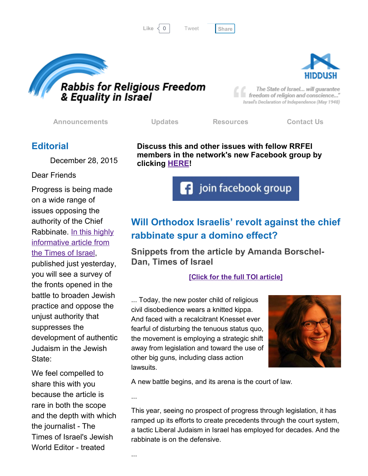...

Like  $\langle 0 |$  Tweet [Share](javascript:void(0);)

[Tweet](https://twitter.com/intent/tweet?original_referer=http%3A%2F%2Fhosted-p0.vresp.com%2F577764%2F28e953aaa8%2FARCHIVE&ref_src=twsrc%5Etfw&text=Bulletin%3A%20Orthodox%20Jews%20challenge%20Chief%20Rabbinate%3A&tw_p=tweetbutton&url=http%3A%2F%2Fhosted-p0.vresp.com%2F577764%2F28e953aaa8%2FARCHIVE%23.VoPm3_7ZGV8.twitter)

The State of Israel... will guarantee freedom of religion and conscience..." Israel's Declaration of Independence (May 1948)

[Announcements](http://rrfei.org/announcements/) [Updates](http://rrfei.org/about/rrfei-updates/) [Resources](http://rrfei.org/resources/) [Contact](http://rrfei.org/contact-us/) Us

clicking **[HERE!](https://www.facebook.com/groups/132239560451232/)** 

# **Editorial**

December 28, 2015

#### Dear Friends

Progress is being made on a wide range of issues opposing the authority of the Chief Rabbinate. In this highly [informative](http://www.timesofisrael.com/will-orthodox-israelis-revolt-against-the-chief-rabbinate-spur-a-domino-effect/) article from the Times of Israel,

published just yesterday, you will see a survey of the fronts opened in the battle to broaden Jewish practice and oppose the unjust authority that suppresses the development of authentic Judaism in the Jewish State:

We feel compelled to share this with you because the article is rare in both the scope and the depth with which the journalist - The Times of Israel's Jewish World Editor - treated

Will Orthodox Israelis' revolt against the chief rabbinate spur a domino effect?

join facebook group

Snippets from the article by Amanda Borschel-Dan, Times of Israel

### [Click for the full TOI [article\]](http://www.timesofisrael.com/will-orthodox-israelis-revolt-against-the-chief-rabbinate-spur-a-domino-effect/)

... Today, the new poster child of religious civil disobedience wears a knitted kippa. And faced with a recalcitrant Knesset ever fearful of disturbing the tenuous status quo, the movement is employing a strategic shift away from legislation and toward the use of other big guns, including class action lawsuits.

A new battle begins, and its arena is the court of law.

...

This year, seeing no prospect of progress through legislation, it has ramped up its efforts to create precedents through the court system, a tactic Liberal Judaism in Israel has employed for decades. And the rabbinate is on the defensive.





Rabbis for Religious Freedom<br>& Equality in Israel

Discuss this and other issues with fellow RRFEI members in the network's new Facebook group by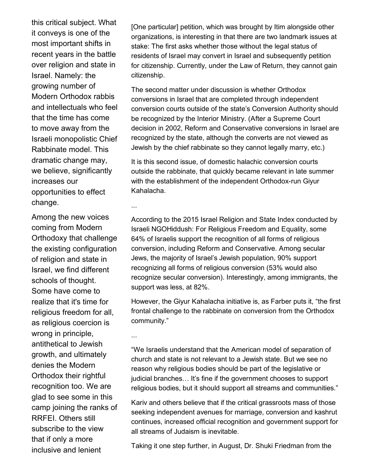this critical subject. What it conveys is one of the most important shifts in recent years in the battle over religion and state in Israel. Namely: the growing number of Modern Orthodox rabbis and intellectuals who feel that the time has come to move away from the Israeli monopolistic Chief Rabbinate model. This dramatic change may, we believe, significantly increases our opportunities to effect change.

...

...

Among the new voices coming from Modern Orthodoxy that challenge the existing configuration of religion and state in Israel, we find different schools of thought. Some have come to realize that it's time for religious freedom for all, as religious coercion is wrong in principle, antithetical to Jewish growth, and ultimately denies the Modern Orthodox their rightful recognition too. We are glad to see some in this camp joining the ranks of RRFEI. Others still subscribe to the view that if only a more inclusive and lenient

[One particular] petition, which was brought by Itim alongside other organizations, is interesting in that there are two landmark issues at stake: The first asks whether those without the legal status of residents of Israel may convert in Israel and subsequently petition for citizenship. Currently, under the Law of Return, they cannot gain citizenship.

The second matter under discussion is whether Orthodox conversions in Israel that are completed through independent conversion courts outside of the state's Conversion Authority should be recognized by the Interior Ministry. (After a Supreme Court decision in 2002, Reform and Conservative conversions in Israel are recognized by the state, although the converts are not viewed as Jewish by the chief rabbinate so they cannot legally marry, etc.)

It is this second issue, of domestic halachic conversion courts outside the rabbinate, that quickly became relevant in late summer with the establishment of the independent Orthodox-run Giyur Kahalacha.

According to the 2015 Israel Religion and State Index conducted by Israeli NGOHiddush: For Religious Freedom and Equality, some 64% of Israelis support the recognition of all forms of religious conversion, including Reform and Conservative. Among secular Jews, the majority of Israel's Jewish population, 90% support recognizing all forms of religious conversion (53% would also recognize secular conversion). Interestingly, among immigrants, the support was less, at 82%.

However, the Giyur Kahalacha initiative is, as Farber puts it, "the first frontal challenge to the rabbinate on conversion from the Orthodox community."

"We Israelis understand that the American model of separation of church and state is not relevant to a Jewish state. But we see no reason why religious bodies should be part of the legislative or judicial branches… It's fine if the government chooses to support religious bodies, but it should support all streams and communities."

Kariv and others believe that if the critical grassroots mass of those seeking independent avenues for marriage, conversion and kashrut continues, increased official recognition and government support for all streams of Judaism is inevitable.

Taking it one step further, in August, Dr. Shuki Friedman from the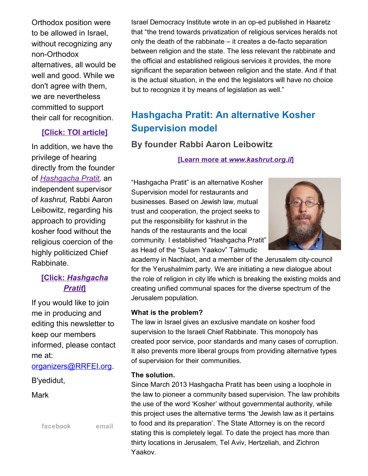Orthodox position were to be allowed in Israel, without recognizing any non-Orthodox alternatives, all would be well and good. While we don't agree with them, we are nevertheless committed to support their call for recognition.

### [Click: TOI [article\]](http://www.timesofisrael.com/will-orthodox-israelis-revolt-against-the-chief-rabbinate-spur-a-domino-effect/)

In addition, we have the privilege of hearing directly from the founder of *[Hashgacha](http://www.kashrut.org.il/) Pratit,* an independent supervisor of *kashrut,* Rabbi Aaron Leibowitz, regarding his approach to providing kosher food without the religious coercion of the highly politicized Chief Rabbinate.

# [Click: *[Hashgacha](http://www.kashrut.org.il/) Pratit*]

If you would like to join me in producing and editing this newsletter to keep our members informed, please contact me at:

[organizers@RRFEI.org.](mailto:organizers@rrfei.org)

B'yedidut,

Mark

[facebook](https://www.facebook.com/groups/132239560451232/) [email](mailto:organizers@rrfei.org)

Israel Democracy Institute wrote in an op-ed published in Haaretz that "the trend towards privatization of religious services heralds not only the death of the rabbinate  $-$  it creates a de-facto separation between religion and the state. The less relevant the rabbinate and the official and established religious services it provides, the more significant the separation between religion and the state. And if that is the actual situation, in the end the legislators will have no choice but to recognize it by means of legislation as well."

# Hashgacha Pratit: An alternative Kosher Supervision model

# By founder Rabbi Aaron Leibowitz

[Learn more at *[www.kashrut.org.il](http://www.kashrut.org.il/)*]

"Hashgacha Pratit" is an alternative Kosher Supervision model for restaurants and businesses. Based on Jewish law, mutual trust and cooperation, the project seeks to put the responsibility for kashrut in the hands of the restaurants and the local community. I established "Hashgacha Pratit" as Head of the "Sulam Yaakov" Talmudic



academy in Nachlaot, and a member of the Jerusalem city-council for the Yerushalmim party. We are initiating a new dialogue about the role of religion in city life which is breaking the existing molds and creating unified communal spaces for the diverse spectrum of the Jerusalem population.

#### What is the problem?

The law in Israel gives an exclusive mandate on kosher food supervision to the Israeli Chief Rabbinate. This monopoly has created poor service, poor standards and many cases of corruption. It also prevents more liberal groups from providing alternative types of supervision for their communities.

### The solution.

Since March 2013 Hashgacha Pratit has been using a loophole in the law to pioneer a community based supervision. The law prohibits the use of the word 'Kosher' without governmental authority, while this project uses the alternative terms 'the Jewish law as it pertains to food and its preparation'. The State Attorney is on the record stating this is completely legal. To date the project has more than thirty locations in Jerusalem, Tel Aviv, Hertzeliah, and Zichron Yaakov.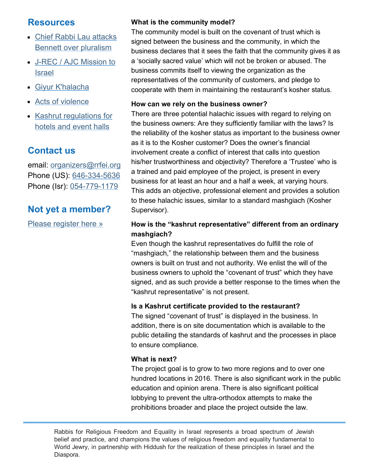# **Resources**

- Chief Rabbi Lau attacks Bennett over [pluralism](http://rrfei.org/resources/chief-rabbi-lau-slams-minister-bennett-winter-2015/)
- J-REC / AJC [Mission](http://rrfei.org/resources/ajc-j-rec-mission-to-israel-winter-2015/) to Israel
- Giyur [K'halacha](http://rrfei.org/resources/giyur-khalacha-summer-2015/)
- Acts of [violence](http://rrfei.org/resources/acts-of-violence-summer-2015/)
- Kashrut [regulations](http://rrfei.org/resources/kashrut-regulations-for-hotels-spring-2015/) for hotels and event halls

# Contact us

email: [organizers@rrfei.org](mailto:organizers@rrfei.org) Phone (US): 646-334-5636 Phone (Isr): 054-779-1179

# Not yet a member?

Please [register](http://rrfei.org/about/registration/) here »

# What is the community model?

The community model is built on the covenant of trust which is signed between the business and the community, in which the business declares that it sees the faith that the community gives it as a 'socially sacred value' which will not be broken or abused. The business commits itself to viewing the organization as the representatives of the community of customers, and pledge to cooperate with them in maintaining the restaurant's kosher status.

### How can we rely on the business owner?

There are three potential halachic issues with regard to relying on the business owners: Are they sufficiently familiar with the laws? Is the reliability of the kosher status as important to the business owner as it is to the Kosher customer? Does the owner's financial involvement create a conflict of interest that calls into question his/her trustworthiness and objectivity? Therefore a 'Trustee' who is a trained and paid employee of the project, is present in every business for at least an hour and a half a week, at varying hours. This adds an objective, professional element and provides a solution to these halachic issues, similar to a standard mashgiach (Kosher Supervisor).

## How is the "kashrut representative" different from an ordinary mashgiach?

Even though the kashrut representatives do fulfill the role of "mashgiach," the relationship between them and the business owners is built on trust and not authority. We enlist the will of the business owners to uphold the "covenant of trust" which they have signed, and as such provide a better response to the times when the "kashrut representative" is not present.

### Is a Kashrut certificate provided to the restaurant?

The signed "covenant of trust" is displayed in the business. In addition, there is on site documentation which is available to the public detailing the standards of kashrut and the processes in place to ensure compliance.

### What is next?

The project goal is to grow to two more regions and to over one hundred locations in 2016. There is also significant work in the public education and opinion arena. There is also significant political lobbying to prevent the ultra-orthodox attempts to make the prohibitions broader and place the project outside the law.

Rabbis for Religious Freedom and Equality in Israel represents a broad spectrum of Jewish belief and practice, and champions the values of religious freedom and equality fundamental to World Jewry, in partnership with Hiddush for the realization of these principles in Israel and the Diaspora.